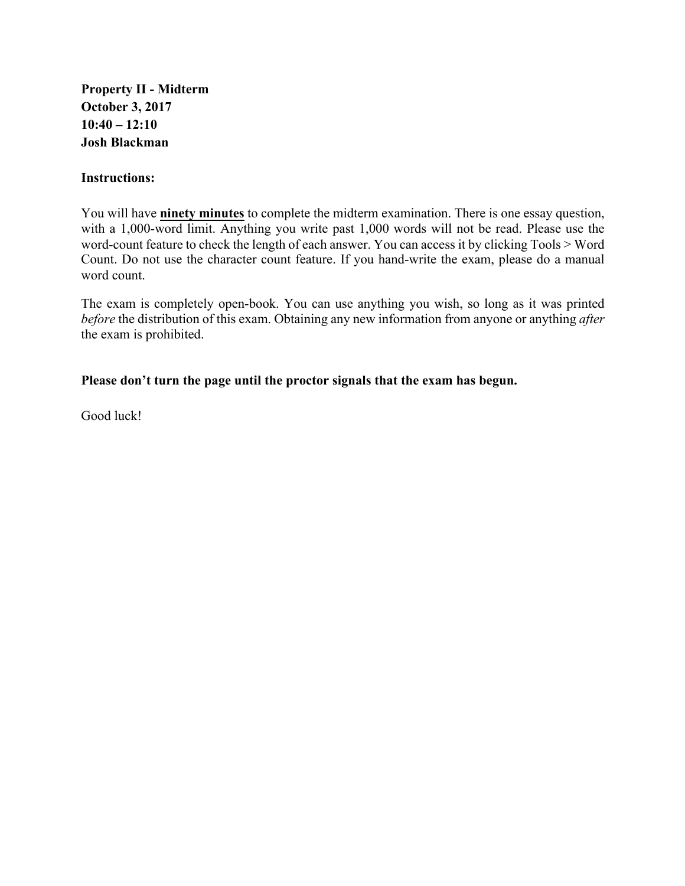**Property II - Midterm October 3, 2017 10:40 – 12:10 Josh Blackman**

## **Instructions:**

You will have **ninety minutes** to complete the midterm examination. There is one essay question, with a 1,000-word limit. Anything you write past 1,000 words will not be read. Please use the word-count feature to check the length of each answer. You can access it by clicking Tools > Word Count. Do not use the character count feature. If you hand-write the exam, please do a manual word count.

The exam is completely open-book. You can use anything you wish, so long as it was printed *before* the distribution of this exam. Obtaining any new information from anyone or anything *after* the exam is prohibited.

## **Please don't turn the page until the proctor signals that the exam has begun.**

Good luck!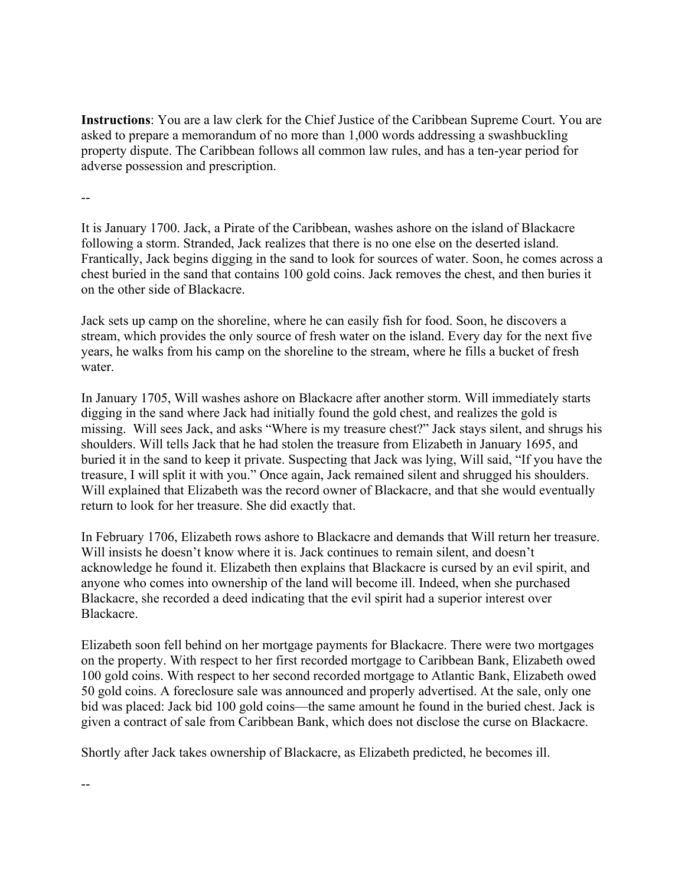**Instructions**: You are a law clerk for the Chief Justice of the Caribbean Supreme Court. You are asked to prepare a memorandum of no more than 1,000 words addressing a swashbuckling property dispute. The Caribbean follows all common law rules, and has a ten-year period for adverse possession and prescription.

--

--

It is January 1700. Jack, a Pirate of the Caribbean, washes ashore on the island of Blackacre following a storm. Stranded, Jack realizes that there is no one else on the deserted island. Frantically, Jack begins digging in the sand to look for sources of water. Soon, he comes across a chest buried in the sand that contains 100 gold coins. Jack removes the chest, and then buries it on the other side of Blackacre.

Jack sets up camp on the shoreline, where he can easily fish for food. Soon, he discovers a stream, which provides the only source of fresh water on the island. Every day for the next five years, he walks from his camp on the shoreline to the stream, where he fills a bucket of fresh water.

In January 1705, Will washes ashore on Blackacre after another storm. Will immediately starts digging in the sand where Jack had initially found the gold chest, and realizes the gold is missing. Will sees Jack, and asks "Where is my treasure chest?" Jack stays silent, and shrugs his shoulders. Will tells Jack that he had stolen the treasure from Elizabeth in January 1695, and buried it in the sand to keep it private. Suspecting that Jack was lying, Will said, "If you have the treasure, I will split it with you." Once again, Jack remained silent and shrugged his shoulders. Will explained that Elizabeth was the record owner of Blackacre, and that she would eventually return to look for her treasure. She did exactly that.

In February 1706, Elizabeth rows ashore to Blackacre and demands that Will return her treasure. Will insists he doesn't know where it is. Jack continues to remain silent, and doesn't acknowledge he found it. Elizabeth then explains that Blackacre is cursed by an evil spirit, and anyone who comes into ownership of the land will become ill. Indeed, when she purchased Blackacre, she recorded a deed indicating that the evil spirit had a superior interest over Blackacre.

Elizabeth soon fell behind on her mortgage payments for Blackacre. There were two mortgages on the property. With respect to her first recorded mortgage to Caribbean Bank, Elizabeth owed 100 gold coins. With respect to her second recorded mortgage to Atlantic Bank, Elizabeth owed 50 gold coins. A foreclosure sale was announced and properly advertised. At the sale, only one bid was placed: Jack bid 100 gold coins—the same amount he found in the buried chest. Jack is given a contract of sale from Caribbean Bank, which does not disclose the curse on Blackacre.

Shortly after Jack takes ownership of Blackacre, as Elizabeth predicted, he becomes ill.